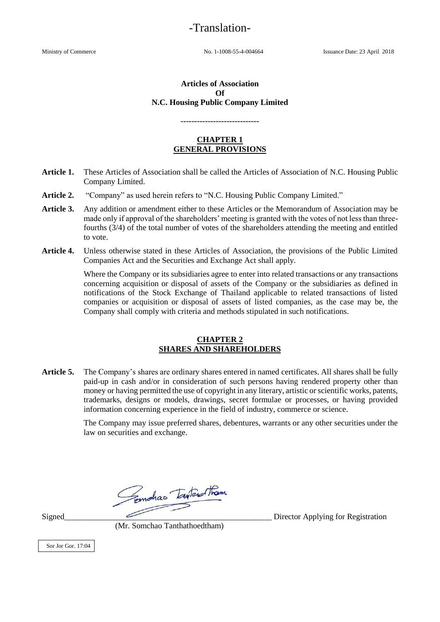# -Translation-

Ministry of Commerce No. 1-1008-55-4-004664 Issuance Date: 23 April 2018

#### **Articles of Association Of N.C. Housing Public Company Limited**

#### **-----------------------------**

#### **CHAPTER 1 GENERAL PROVISIONS**

- **Article 1.** These Articles of Association shall be called the Articles of Association of N.C. Housing Public Company Limited.
- **Article 2.** "Company" as used herein refers to "N.C. Housing Public Company Limited."
- **Article 3.** Any addition or amendment either to these Articles or the Memorandum of Association may be made only if approval of the shareholders' meeting is granted with the votes of not less than threefourths (3/4) of the total number of votes of the shareholders attending the meeting and entitled to vote.
- **Article 4.** Unless otherwise stated in these Articles of Association, the provisions of the Public Limited Companies Act and the Securities and Exchange Act shall apply.

Where the Company or its subsidiaries agree to enter into related transactions or any transactions concerning acquisition or disposal of assets of the Company or the subsidiaries as defined in notifications of the Stock Exchange of Thailand applicable to related transactions of listed companies or acquisition or disposal of assets of listed companies, as the case may be, the Company shall comply with criteria and methods stipulated in such notifications.

#### **CHAPTER 2 SHARES AND SHAREHOLDERS**

**Article 5.** The Company's shares are ordinary shares entered in named certificates. All shares shall be fully paid-up in cash and/or in consideration of such persons having rendered property other than money or having permitted the use of copyright in any literary, artistic or scientific works, patents, trademarks, designs or models, drawings, secret formulae or processes, or having provided information concerning experience in the field of industry, commerce or science.

> The Company may issue preferred shares, debentures, warrants or any other securities under the law on securities and exchange.

Semphas Tanter tham

Signed Director Applying for Registration

(Mr. Somchao Tanthathoedtham)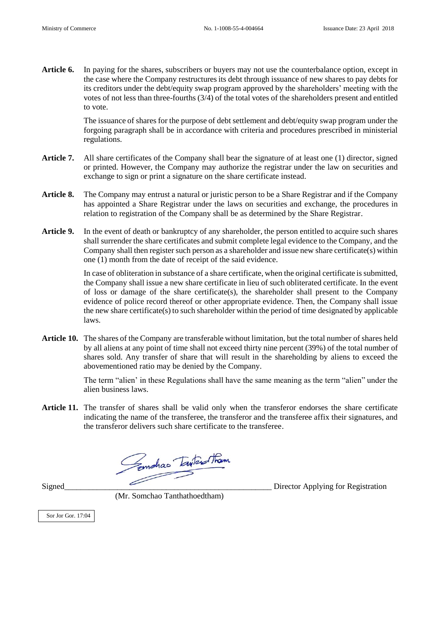**Article 6.** In paying for the shares, subscribers or buyers may not use the counterbalance option, except in the case where the Company restructures its debt through issuance of new shares to pay debts for its creditors under the debt/equity swap program approved by the shareholders' meeting with the votes of not less than three-fourths (3/4) of the total votes of the shareholders present and entitled to vote.

> The issuance of shares for the purpose of debt settlement and debt/equity swap program under the forgoing paragraph shall be in accordance with criteria and procedures prescribed in ministerial regulations.

- **Article 7.** All share certificates of the Company shall bear the signature of at least one (1) director, signed or printed. However, the Company may authorize the registrar under the law on securities and exchange to sign or print a signature on the share certificate instead.
- **Article 8.** The Company may entrust a natural or juristic person to be a Share Registrar and if the Company has appointed a Share Registrar under the laws on securities and exchange, the procedures in relation to registration of the Company shall be as determined by the Share Registrar.
- **Article 9.** In the event of death or bankruptcy of any shareholder, the person entitled to acquire such shares shall surrender the share certificates and submit complete legal evidence to the Company, and the Company shall then register such person as a shareholder and issue new share certificate(s) within one (1) month from the date of receipt of the said evidence.

In case of obliteration in substance of a share certificate, when the original certificate is submitted, the Company shall issue a new share certificate in lieu of such obliterated certificate. In the event of loss or damage of the share certificate(s), the shareholder shall present to the Company evidence of police record thereof or other appropriate evidence. Then, the Company shall issue the new share certificate(s) to such shareholder within the period of time designated by applicable laws.

**Article 10.** The shares of the Company are transferable without limitation, but the total number of shares held by all aliens at any point of time shall not exceed thirty nine percent (39%) of the total number of shares sold. Any transfer of share that will result in the shareholding by aliens to exceed the abovementioned ratio may be denied by the Company.

> The term "alien' in these Regulations shall have the same meaning as the term "alien" under the alien business laws.

**Article 11.** The transfer of shares shall be valid only when the transferor endorses the share certificate indicating the name of the transferee, the transferor and the transferee affix their signatures, and the transferor delivers such share certificate to the transferee.

Gemahas Tantara tham

(Mr. Somchao Tanthathoedtham)

Signed\_\_\_\_\_\_\_\_\_\_\_\_\_\_\_\_\_\_\_\_\_\_\_\_\_\_\_\_\_\_\_\_\_\_\_\_\_\_\_\_\_\_\_\_\_\_\_\_\_\_\_ Director Applying for Registration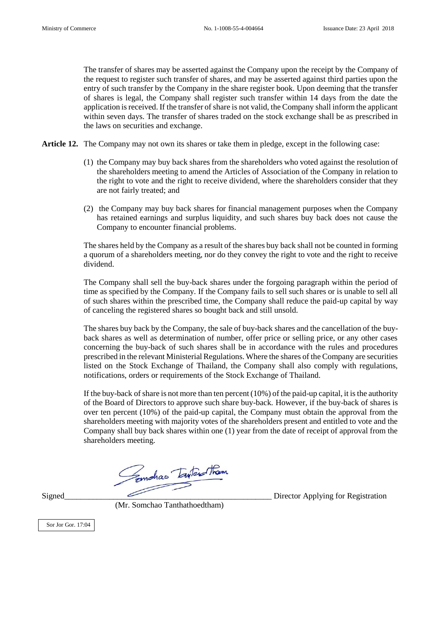The transfer of shares may be asserted against the Company upon the receipt by the Company of the request to register such transfer of shares, and may be asserted against third parties upon the entry of such transfer by the Company in the share register book. Upon deeming that the transfer of shares is legal, the Company shall register such transfer within 14 days from the date the application is received. If the transfer of share is not valid, the Company shall inform the applicant within seven days. The transfer of shares traded on the stock exchange shall be as prescribed in the laws on securities and exchange.

- **Article 12.** The Company may not own its shares or take them in pledge, except in the following case:
	- (1) the Company may buy back shares from the shareholders who voted against the resolution of the shareholders meeting to amend the Articles of Association of the Company in relation to the right to vote and the right to receive dividend, where the shareholders consider that they are not fairly treated; and
	- (2) the Company may buy back shares for financial management purposes when the Company has retained earnings and surplus liquidity, and such shares buy back does not cause the Company to encounter financial problems.

The shares held by the Company as a result of the shares buy back shall not be counted in forming a quorum of a shareholders meeting, nor do they convey the right to vote and the right to receive dividend.

The Company shall sell the buy-back shares under the forgoing paragraph within the period of time as specified by the Company. If the Company fails to sell such shares or is unable to sell all of such shares within the prescribed time, the Company shall reduce the paid-up capital by way of canceling the registered shares so bought back and still unsold.

The shares buy back by the Company, the sale of buy-back shares and the cancellation of the buyback shares as well as determination of number, offer price or selling price, or any other cases concerning the buy-back of such shares shall be in accordance with the rules and procedures prescribed in the relevant Ministerial Regulations. Where the shares of the Company are securities listed on the Stock Exchange of Thailand, the Company shall also comply with regulations, notifications, orders or requirements of the Stock Exchange of Thailand.

If the buy-back of share is not more than ten percent (10%) of the paid-up capital, it is the authority of the Board of Directors to approve such share buy-back. However, if the buy-back of shares is over ten percent (10%) of the paid-up capital, the Company must obtain the approval from the shareholders meeting with majority votes of the shareholders present and entitled to vote and the Company shall buy back shares within one (1) year from the date of receipt of approval from the shareholders meeting.

Signed\_\_\_\_\_\_\_\_\_\_\_\_\_\_\_\_\_\_\_\_\_\_\_\_\_\_\_\_\_\_\_\_\_\_\_\_\_\_\_\_\_\_\_\_\_\_\_\_\_\_\_ Director Applying for Registration

(Mr. Somchao Tanthathoedtham)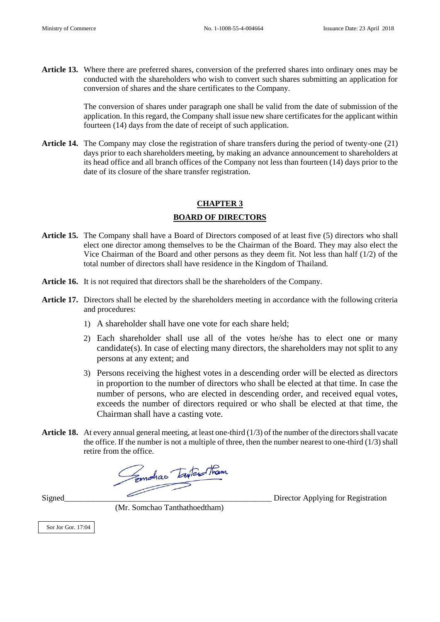**Article 13.** Where there are preferred shares, conversion of the preferred shares into ordinary ones may be conducted with the shareholders who wish to convert such shares submitting an application for conversion of shares and the share certificates to the Company.

> The conversion of shares under paragraph one shall be valid from the date of submission of the application. In this regard, the Company shall issue new share certificates for the applicant within fourteen (14) days from the date of receipt of such application.

**Article 14.** The Company may close the registration of share transfers during the period of twenty-one (21) days prior to each shareholders meeting, by making an advance announcement to shareholders at its head office and all branch offices of the Company not less than fourteen (14) days prior to the date of its closure of the share transfer registration.

# **CHAPTER 3 BOARD OF DIRECTORS**

- **Article 15.** The Company shall have a Board of Directors composed of at least five (5) directors who shall elect one director among themselves to be the Chairman of the Board. They may also elect the Vice Chairman of the Board and other persons as they deem fit. Not less than half (1/2) of the total number of directors shall have residence in the Kingdom of Thailand.
- **Article 16.** It is not required that directors shall be the shareholders of the Company.
- **Article 17.** Directors shall be elected by the shareholders meeting in accordance with the following criteria and procedures:
	- 1) A shareholder shall have one vote for each share held;
	- 2) Each shareholder shall use all of the votes he/she has to elect one or many candidate(s). In case of electing many directors, the shareholders may not split to any persons at any extent; and
	- 3) Persons receiving the highest votes in a descending order will be elected as directors in proportion to the number of directors who shall be elected at that time. In case the number of persons, who are elected in descending order, and received equal votes, exceeds the number of directors required or who shall be elected at that time, the Chairman shall have a casting vote.
- **Article 18.** At every annual general meeting, at least one-third (1/3) of the number of the directors shall vacate the office. If the number is not a multiple of three, then the number nearest to one-third (1/3) shall

retire from the office.<br>Complete Line Them

(Mr. Somchao Tanthathoedtham)

Sor Jor Gor. 17:04

Signed Director Applying for Registration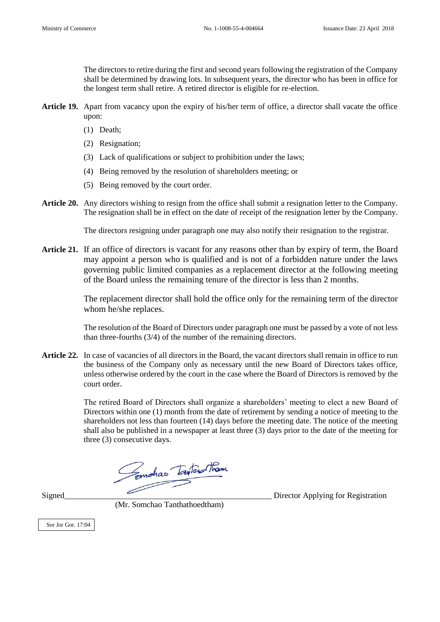The directors to retire during the first and second years following the registration of the Company shall be determined by drawing lots. In subsequent years, the director who has been in office for the longest term shall retire. A retired director is eligible for re-election.

- **Article 19.** Apart from vacancy upon the expiry of his/her term of office, a director shall vacate the office upon:
	- (1) Death;
	- (2) Resignation;
	- (3) Lack of qualifications or subject to prohibition under the laws;
	- (4) Being removed by the resolution of shareholders meeting; or
	- (5) Being removed by the court order.
- **Article 20.** Any directors wishing to resign from the office shall submit a resignation letter to the Company. The resignation shall be in effect on the date of receipt of the resignation letter by the Company.

The directors resigning under paragraph one may also notify their resignation to the registrar.

**Article 21.** If an office of directors is vacant for any reasons other than by expiry of term, the Board may appoint a person who is qualified and is not of a forbidden nature under the laws governing public limited companies as a replacement director at the following meeting of the Board unless the remaining tenure of the director is less than 2 months.

> The replacement director shall hold the office only for the remaining term of the director whom he/she replaces.

> The resolution of the Board of Directors under paragraph one must be passed by a vote of not less than three-fourths (3/4) of the number of the remaining directors.

**Article 22.** In case of vacancies of all directors in the Board, the vacant directors shall remain in office to run the business of the Company only as necessary until the new Board of Directors takes office, unless otherwise ordered by the court in the case where the Board of Directors is removed by the court order.

> The retired Board of Directors shall organize a shareholders' meeting to elect a new Board of Directors within one (1) month from the date of retirement by sending a notice of meeting to the shareholders not less than fourteen (14) days before the meeting date. The notice of the meeting shall also be published in a newspaper at least three (3) days prior to the date of the meeting for three (3) consecutive days.

Signed\_\_\_\_\_\_\_\_\_\_\_\_\_\_\_\_\_\_\_\_\_\_\_\_\_\_\_\_\_\_\_\_\_\_\_\_\_\_\_\_\_\_\_\_\_\_\_\_\_\_\_ Director Applying for Registration

(Mr. Somchao Tanthathoedtham)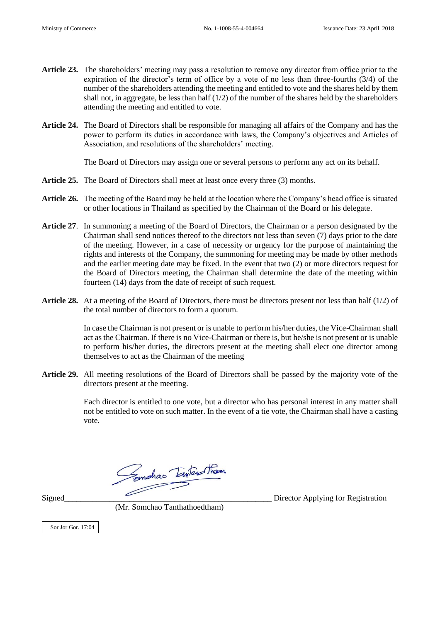- **Article 23.** The shareholders' meeting may pass a resolution to remove any director from office prior to the expiration of the director's term of office by a vote of no less than three-fourths (3/4) of the number of the shareholders attending the meeting and entitled to vote and the shares held by them shall not, in aggregate, be less than half (1/2) of the number of the shares held by the shareholders attending the meeting and entitled to vote.
- **Article 24.** The Board of Directors shall be responsible for managing all affairs of the Company and has the power to perform its duties in accordance with laws, the Company's objectives and Articles of Association, and resolutions of the shareholders' meeting.

The Board of Directors may assign one or several persons to perform any act on its behalf.

- **Article 25.** The Board of Directors shall meet at least once every three (3) months.
- **Article 26.** The meeting of the Board may be held at the location where the Company's head office is situated or other locations in Thailand as specified by the Chairman of the Board or his delegate.
- **Article 27**. In summoning a meeting of the Board of Directors, the Chairman or a person designated by the Chairman shall send notices thereof to the directors not less than seven (7) days prior to the date of the meeting. However, in a case of necessity or urgency for the purpose of maintaining the rights and interests of the Company, the summoning for meeting may be made by other methods and the earlier meeting date may be fixed. In the event that two (2) or more directors request for the Board of Directors meeting, the Chairman shall determine the date of the meeting within fourteen (14) days from the date of receipt of such request.
- **Article 28.** At a meeting of the Board of Directors, there must be directors present not less than half (1/2) of the total number of directors to form a quorum.

In case the Chairman is not present or is unable to perform his/her duties, the Vice-Chairman shall act as the Chairman. If there is no Vice-Chairman or there is, but he/she is not present or is unable to perform his/her duties, the directors present at the meeting shall elect one director among themselves to act as the Chairman of the meeting

**Article 29.** All meeting resolutions of the Board of Directors shall be passed by the majority vote of the directors present at the meeting.

> Each director is entitled to one vote, but a director who has personal interest in any matter shall not be entitled to vote on such matter. In the event of a tie vote, the Chairman shall have a casting vote.

Signed\_\_\_\_\_\_\_\_\_\_\_\_\_\_\_\_\_\_\_\_\_\_\_\_\_\_\_\_\_\_\_\_\_\_\_\_\_\_\_\_\_\_\_\_\_\_\_\_\_\_\_ Director Applying for Registration

(Mr. Somchao Tanthathoedtham)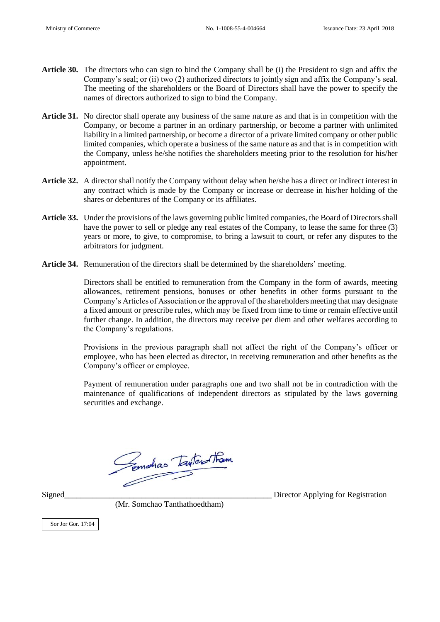- **Article 30.** The directors who can sign to bind the Company shall be (i) the President to sign and affix the Company's seal; or (ii) two (2) authorized directors to jointly sign and affix the Company's seal. The meeting of the shareholders or the Board of Directors shall have the power to specify the names of directors authorized to sign to bind the Company.
- **Article 31.** No director shall operate any business of the same nature as and that is in competition with the Company, or become a partner in an ordinary partnership, or become a partner with unlimited liability in a limited partnership, or become a director of a private limited company or other public limited companies, which operate a business of the same nature as and that is in competition with the Company, unless he/she notifies the shareholders meeting prior to the resolution for his/her appointment.
- **Article 32.** A director shall notify the Company without delay when he/she has a direct or indirect interest in any contract which is made by the Company or increase or decrease in his/her holding of the shares or debentures of the Company or its affiliates.
- **Article 33.** Under the provisions of the laws governing public limited companies, the Board of Directors shall have the power to sell or pledge any real estates of the Company, to lease the same for three (3) years or more, to give, to compromise, to bring a lawsuit to court, or refer any disputes to the arbitrators for judgment.
- **Article 34.** Remuneration of the directors shall be determined by the shareholders' meeting.

Directors shall be entitled to remuneration from the Company in the form of awards, meeting allowances, retirement pensions, bonuses or other benefits in other forms pursuant to the Company's Articles of Association or the approval of the shareholders meeting that may designate a fixed amount or prescribe rules, which may be fixed from time to time or remain effective until further change. In addition, the directors may receive per diem and other welfares according to the Company's regulations.

Provisions in the previous paragraph shall not affect the right of the Company's officer or employee, who has been elected as director, in receiving remuneration and other benefits as the Company's officer or employee.

Payment of remuneration under paragraphs one and two shall not be in contradiction with the maintenance of qualifications of independent directors as stipulated by the laws governing securities and exchange.

Femalias Taylor Tham

Signed\_\_\_\_\_\_\_\_\_\_\_\_\_\_\_\_\_\_\_\_\_\_\_\_\_\_\_\_\_\_\_\_\_\_\_\_\_\_\_\_\_\_\_\_\_\_\_\_\_\_\_ Director Applying for Registration

(Mr. Somchao Tanthathoedtham)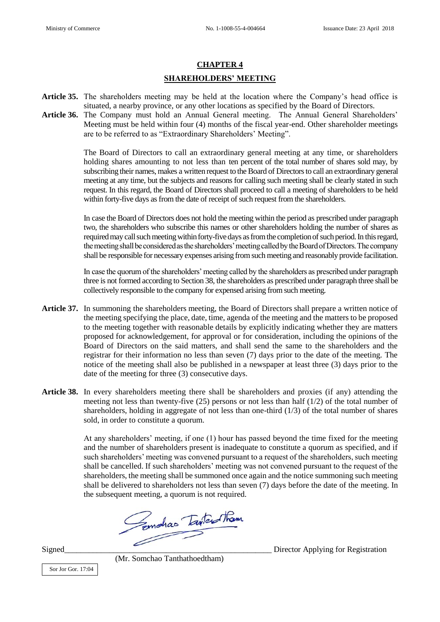# **CHAPTER 4 SHAREHOLDERS' MEETING**

- **Article 35.** The shareholders meeting may be held at the location where the Company's head office is situated, a nearby province, or any other locations as specified by the Board of Directors.
- Article 36. The Company must hold an Annual General meeting. The Annual General Shareholders' Meeting must be held within four (4) months of the fiscal year-end. Other shareholder meetings are to be referred to as "Extraordinary Shareholders' Meeting".

 The Board of Directors to call an extraordinary general meeting at any time, or shareholders holding shares amounting to not less than ten percent of the total number of shares sold may, by subscribing their names, makes a written request to the Board of Directors to call an extraordinary general meeting at any time, but the subjects and reasons for calling such meeting shall be clearly stated in such request. In this regard, the Board of Directors shall proceed to call a meeting of shareholders to be held within forty-five days as from the date of receipt of such request from the shareholders.

 In case the Board of Directors does not hold the meeting within the period as prescribed under paragraph two, the shareholders who subscribe this names or other shareholders holding the number of shares as required may call such meeting within forty-five days as from the completion of such period. In this regard, the meeting shall be considered as the shareholders' meeting called by the Board of Directors. The company shall be responsible for necessary expenses arising from such meeting and reasonably provide facilitation.

In case the quorum of the shareholders' meeting called by the shareholders as prescribed under paragraph three is not formed according to Section 38, the shareholders as prescribed under paragraph three shall be collectively responsible to the company for expensed arising from such meeting.

- **Article 37.** In summoning the shareholders meeting, the Board of Directors shall prepare a written notice of the meeting specifying the place, date, time, agenda of the meeting and the matters to be proposed to the meeting together with reasonable details by explicitly indicating whether they are matters proposed for acknowledgement, for approval or for consideration, including the opinions of the Board of Directors on the said matters, and shall send the same to the shareholders and the registrar for their information no less than seven (7) days prior to the date of the meeting. The notice of the meeting shall also be published in a newspaper at least three (3) days prior to the date of the meeting for three (3) consecutive days.
- **Article 38.** In every shareholders meeting there shall be shareholders and proxies (if any) attending the meeting not less than twenty-five (25) persons or not less than half (1/2) of the total number of shareholders, holding in aggregate of not less than one-third (1/3) of the total number of shares sold, in order to constitute a quorum.

At any shareholders' meeting, if one (1) hour has passed beyond the time fixed for the meeting and the number of shareholders present is inadequate to constitute a quorum as specified, and if such shareholders' meeting was convened pursuant to a request of the shareholders, such meeting shall be cancelled. If such shareholders' meeting was not convened pursuant to the request of the shareholders, the meeting shall be summoned once again and the notice summoning such meeting shall be delivered to shareholders not less than seven (7) days before the date of the meeting. In

the subsequent meeting, a quorum is not required.

Signed\_\_\_\_\_\_\_\_\_\_\_\_\_\_\_\_\_\_\_\_\_\_\_\_\_\_\_\_\_\_\_\_\_\_\_\_\_\_\_\_\_\_\_\_\_\_\_\_\_\_\_ Director Applying for Registration

Sor Jor Gor. 17:04

(Mr. Somchao Tanthathoedtham)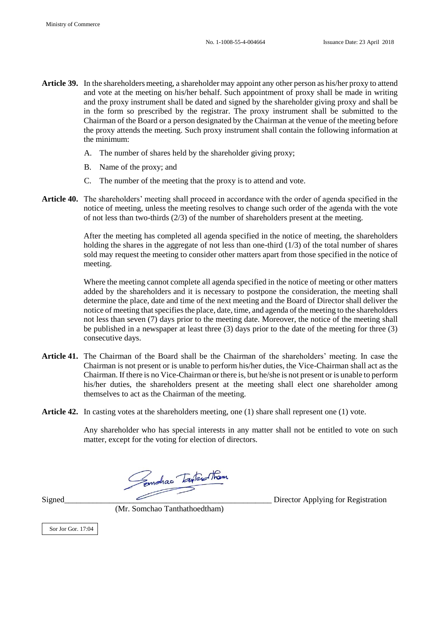- **Article 39.** In the shareholders meeting, a shareholder may appoint any other person as his/her proxy to attend and vote at the meeting on his/her behalf. Such appointment of proxy shall be made in writing and the proxy instrument shall be dated and signed by the shareholder giving proxy and shall be in the form so prescribed by the registrar. The proxy instrument shall be submitted to the Chairman of the Board or a person designated by the Chairman at the venue of the meeting before the proxy attends the meeting. Such proxy instrument shall contain the following information at the minimum:
	- A. The number of shares held by the shareholder giving proxy;
	- B. Name of the proxy; and
	- C. The number of the meeting that the proxy is to attend and vote.
- **Article 40.** The shareholders' meeting shall proceed in accordance with the order of agenda specified in the notice of meeting, unless the meeting resolves to change such order of the agenda with the vote of not less than two-thirds (2/3) of the number of shareholders present at the meeting.

After the meeting has completed all agenda specified in the notice of meeting, the shareholders holding the shares in the aggregate of not less than one-third (1/3) of the total number of shares sold may request the meeting to consider other matters apart from those specified in the notice of meeting.

Where the meeting cannot complete all agenda specified in the notice of meeting or other matters added by the shareholders and it is necessary to postpone the consideration, the meeting shall determine the place, date and time of the next meeting and the Board of Director shall deliver the notice of meeting that specifies the place, date, time, and agenda of the meeting to the shareholders not less than seven (7) days prior to the meeting date. Moreover, the notice of the meeting shall be published in a newspaper at least three (3) days prior to the date of the meeting for three (3) consecutive days.

- **Article 41.** The Chairman of the Board shall be the Chairman of the shareholders' meeting. In case the Chairman is not present or is unable to perform his/her duties, the Vice-Chairman shall act as the Chairman. If there is no Vice-Chairman or there is, but he/she is not present or is unable to perform his/her duties, the shareholders present at the meeting shall elect one shareholder among themselves to act as the Chairman of the meeting.
- **Article 42.** In casting votes at the shareholders meeting, one (1) share shall represent one (1) vote.

Any shareholder who has special interests in any matter shall not be entitled to vote on such matter, except for the voting for election of directors.

Signed\_\_\_\_\_\_\_\_\_\_\_\_\_\_\_\_\_\_\_\_\_\_\_\_\_\_\_\_\_\_\_\_\_\_\_\_\_\_\_\_\_\_\_\_\_\_\_\_\_\_\_ Director Applying for Registration

(Mr. Somchao Tanthathoedtham)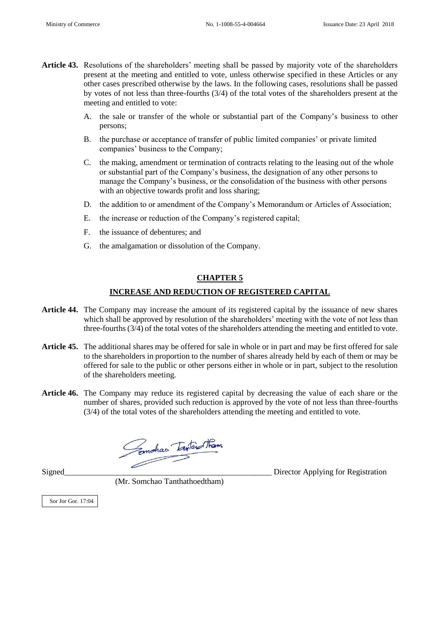- **Article 43.** Resolutions of the shareholders' meeting shall be passed by majority vote of the shareholders present at the meeting and entitled to vote, unless otherwise specified in these Articles or any other cases prescribed otherwise by the laws. In the following cases, resolutions shall be passed by votes of not less than three-fourths (3/4) of the total votes of the shareholders present at the meeting and entitled to vote:
	- A. the sale or transfer of the whole or substantial part of the Company's business to other persons;
	- B. the purchase or acceptance of transfer of public limited companies' or private limited companies' business to the Company;
	- C. the making, amendment or termination of contracts relating to the leasing out of the whole or substantial part of the Company's business, the designation of any other persons to manage the Company's business, or the consolidation of the business with other persons with an objective towards profit and loss sharing;
	- D. the addition to or amendment of the Company's Memorandum or Articles of Association;
	- E. the increase or reduction of the Company's registered capital;
	- F. the issuance of debentures; and
	- G. the amalgamation or dissolution of the Company.

#### **CHAPTER 5**

#### **INCREASE AND REDUCTION OF REGISTERED CAPITAL**

- **Article 44.** The Company may increase the amount of its registered capital by the issuance of new shares which shall be approved by resolution of the shareholders' meeting with the vote of not less than three-fourths (3/4) of the total votes of the shareholders attending the meeting and entitled to vote.
- **Article 45.** The additional shares may be offered for sale in whole or in part and may be first offered for sale to the shareholders in proportion to the number of shares already held by each of them or may be offered for sale to the public or other persons either in whole or in part, subject to the resolution of the shareholders meeting.
- **Article 46.** The Company may reduce its registered capital by decreasing the value of each share or the number of shares, provided such reduction is approved by the vote of not less than three-fourths (3/4) of the total votes of the shareholders attending the meeting and entitled to vote.

Complias Intendition

(Mr. Somchao Tanthathoedtham)

Signed\_\_\_\_\_\_\_\_\_\_\_\_\_\_\_\_\_\_\_\_\_\_\_\_\_\_\_\_\_\_\_\_\_\_\_\_\_\_\_\_\_\_\_\_\_\_\_\_\_\_\_ Director Applying for Registration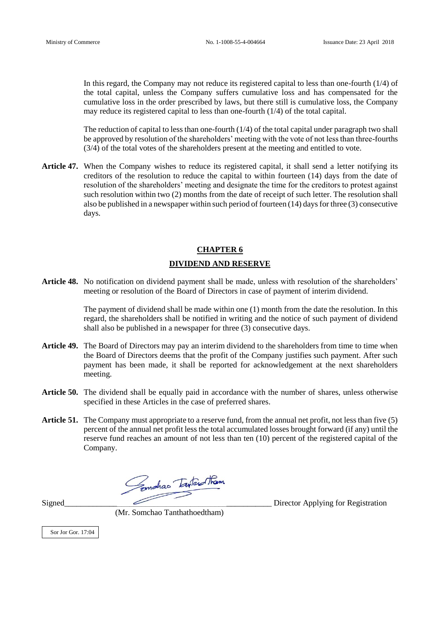In this regard, the Company may not reduce its registered capital to less than one-fourth (1/4) of the total capital, unless the Company suffers cumulative loss and has compensated for the cumulative loss in the order prescribed by laws, but there still is cumulative loss, the Company may reduce its registered capital to less than one-fourth (1/4) of the total capital.

The reduction of capital to less than one-fourth  $(1/4)$  of the total capital under paragraph two shall be approved by resolution of the shareholders' meeting with the vote of not less than three-fourths (3/4) of the total votes of the shareholders present at the meeting and entitled to vote.

**Article 47.** When the Company wishes to reduce its registered capital, it shall send a letter notifying its creditors of the resolution to reduce the capital to within fourteen (14) days from the date of resolution of the shareholders' meeting and designate the time for the creditors to protest against such resolution within two (2) months from the date of receipt of such letter. The resolution shall also be published in a newspaper within such period of fourteen (14) days for three (3) consecutive days.

### **CHAPTER 6 DIVIDEND AND RESERVE**

**Article 48.** No notification on dividend payment shall be made, unless with resolution of the shareholders' meeting or resolution of the Board of Directors in case of payment of interim dividend.

> The payment of dividend shall be made within one (1) month from the date the resolution. In this regard, the shareholders shall be notified in writing and the notice of such payment of dividend shall also be published in a newspaper for three (3) consecutive days.

- **Article 49.** The Board of Directors may pay an interim dividend to the shareholders from time to time when the Board of Directors deems that the profit of the Company justifies such payment. After such payment has been made, it shall be reported for acknowledgement at the next shareholders meeting.
- **Article 50.** The dividend shall be equally paid in accordance with the number of shares, unless otherwise specified in these Articles in the case of preferred shares.
- **Article 51.** The Company must appropriate to a reserve fund, from the annual net profit, not less than five (5) percent of the annual net profit less the total accumulated losses brought forward (if any) until the reserve fund reaches an amount of not less than ten (10) percent of the registered capital of the Company.

Emphas Twartham

Signed\_\_\_\_\_\_\_\_\_\_\_\_\_\_\_\_\_\_\_\_\_\_\_\_\_\_\_\_\_\_\_\_\_\_\_\_\_\_\_\_\_\_\_\_\_\_\_\_\_\_\_ Director Applying for Registration

(Mr. Somchao Tanthathoedtham)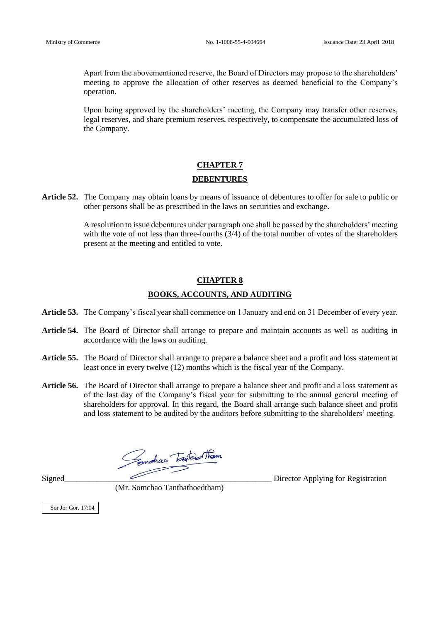Apart from the abovementioned reserve, the Board of Directors may propose to the shareholders' meeting to approve the allocation of other reserves as deemed beneficial to the Company's operation.

Upon being approved by the shareholders' meeting, the Company may transfer other reserves, legal reserves, and share premium reserves, respectively, to compensate the accumulated loss of the Company.

### **CHAPTER 7 DEBENTURES**

**Article 52.** The Company may obtain loans by means of issuance of debentures to offer for sale to public or other persons shall be as prescribed in the laws on securities and exchange.

> A resolution to issue debentures under paragraph one shall be passed by the shareholders' meeting with the vote of not less than three-fourths (3/4) of the total number of votes of the shareholders present at the meeting and entitled to vote.

#### **CHAPTER 8**

#### **BOOKS, ACCOUNTS, AND AUDITING**

- **Article 53.** The Company's fiscal year shall commence on 1 January and end on 31 December of every year.
- **Article 54.** The Board of Director shall arrange to prepare and maintain accounts as well as auditing in accordance with the laws on auditing.
- **Article 55.** The Board of Director shall arrange to prepare a balance sheet and a profit and loss statement at least once in every twelve (12) months which is the fiscal year of the Company.
- **Article 56.** The Board of Director shall arrange to prepare a balance sheet and profit and a loss statement as of the last day of the Company's fiscal year for submitting to the annual general meeting of shareholders for approval. In this regard, the Board shall arrange such balance sheet and profit and loss statement to be audited by the auditors before submitting to the shareholders' meeting.

Signed\_\_\_\_\_\_\_\_\_\_\_\_\_\_\_\_\_\_\_\_\_\_\_\_\_\_\_\_\_\_\_\_\_\_\_\_\_\_\_\_\_\_\_\_\_\_\_\_\_\_\_ Director Applying for Registration

(Mr. Somchao Tanthathoedtham)